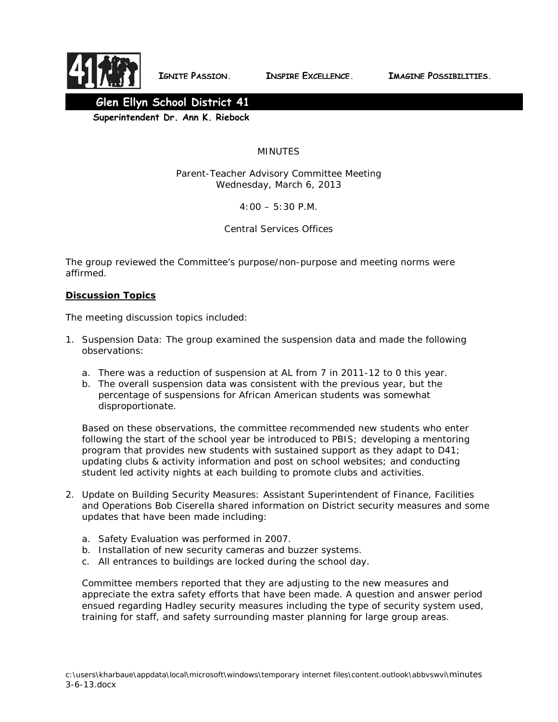

 **IGNITE PASSION. INSPIRE EXCELLENCE. IMAGINE POSSIBILITIES.**



 **Superintendent Dr. Ann K. Riebock**

## MINUTES

Parent-Teacher Advisory Committee Meeting Wednesday, March 6, 2013

 $4:00 - 5:30$  P.M.

Central Services Offices

The group reviewed the Committee's purpose/non-purpose and meeting norms were affirmed.

## **Discussion Topics**

The meeting discussion topics included:

- 1. Suspension Data: The group examined the suspension data and made the following observations:
	- a. There was a reduction of suspension at AL from 7 in 2011-12 to 0 this year.
	- b. The overall suspension data was consistent with the previous year, but the percentage of suspensions for African American students was somewhat disproportionate.

Based on these observations, the committee recommended new students who enter following the start of the school year be introduced to PBIS; developing a mentoring program that provides new students with sustained support as they adapt to D41; updating clubs & activity information and post on school websites; and conducting student led activity nights at each building to promote clubs and activities.

- 2. Update on Building Security Measures: Assistant Superintendent of Finance, Facilities and Operations Bob Ciserella shared information on District security measures and some updates that have been made including:
	- a. Safety Evaluation was performed in 2007.
	- b. Installation of new security cameras and buzzer systems.
	- c. All entrances to buildings are locked during the school day.

Committee members reported that they are adjusting to the new measures and appreciate the extra safety efforts that have been made. A question and answer period ensued regarding Hadley security measures including the type of security system used, training for staff, and safety surrounding master planning for large group areas.